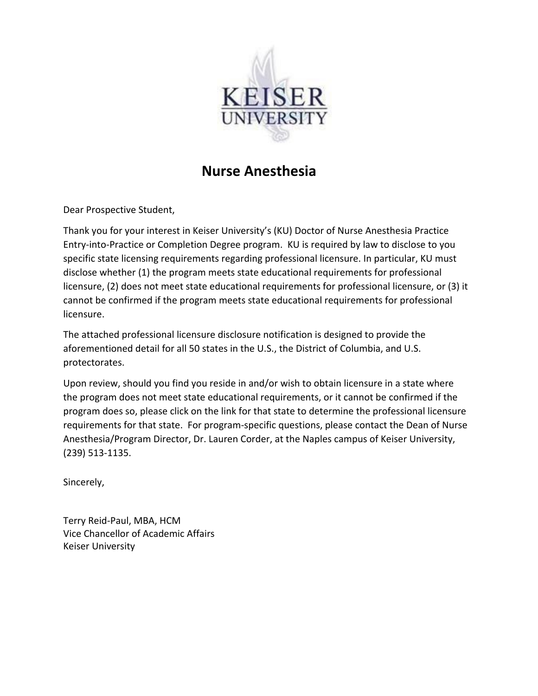

## **Nurse Anesthesia**

Dear Prospective Student,

Thank you for your interest in Keiser University's (KU) Doctor of Nurse Anesthesia Practice Entry-into-Practice or Completion Degree program. KU is required by law to disclose to you specific state licensing requirements regarding professional licensure. In particular, KU must disclose whether (1) the program meets state educational requirements for professional licensure, (2) does not meet state educational requirements for professional licensure, or (3) it cannot be confirmed if the program meets state educational requirements for professional licensure.

The attached professional licensure disclosure notification is designed to provide the aforementioned detail for all 50 states in the U.S., the District of Columbia, and U.S. protectorates.

Upon review, should you find you reside in and/or wish to obtain licensure in a state where the program does not meet state educational requirements, or it cannot be confirmed if the program does so, please click on the link for that state to determine the professional licensure requirements for that state. For program-specific questions, please contact the Dean of Nurse Anesthesia/Program Director, Dr. Lauren Corder, at the Naples campus of Keiser University, (239) 513-1135.

Sincerely,

Terry Reid-Paul, MBA, HCM Vice Chancellor of Academic Affairs Keiser University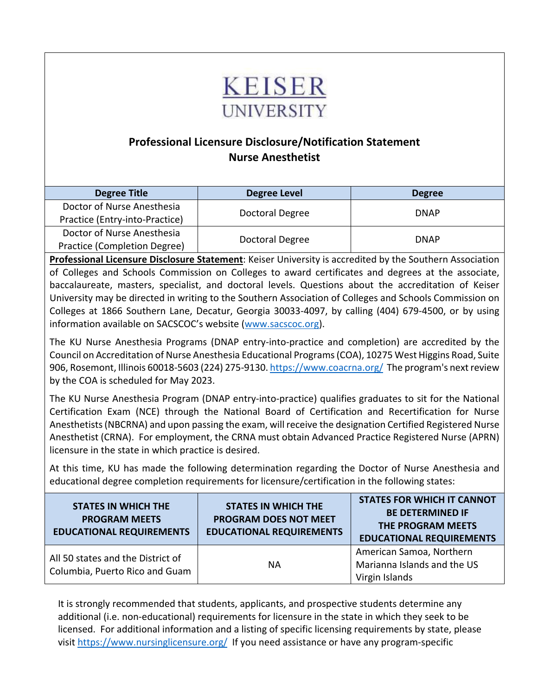

## **Professional Licensure Disclosure/Notification Statement Nurse Anesthetist**

| <b>Degree Title</b>            | Degree Level    | <b>Degree</b> |
|--------------------------------|-----------------|---------------|
| Doctor of Nurse Anesthesia     | Doctoral Degree | <b>DNAP</b>   |
| Practice (Entry-into-Practice) |                 |               |
| Doctor of Nurse Anesthesia     | Doctoral Degree | <b>DNAP</b>   |
| Practice (Completion Degree)   |                 |               |

**Professional Licensure Disclosure Statement**: Keiser University is accredited by the Southern Association of Colleges and Schools Commission on Colleges to award certificates and degrees at the associate, baccalaureate, masters, specialist, and doctoral levels. Questions about the accreditation of Keiser University may be directed in writing to the Southern Association of Colleges and Schools Commission on Colleges at 1866 Southern Lane, Decatur, Georgia 30033-4097, by calling (404) 679-4500, or by using information available on SACSCOC's website [\(www.sacscoc.org\)](https://nam12.safelinks.protection.outlook.com/?url=http%3A%2F%2Fwww.sacscoc.org%2F&data=04%7C01%7Cbmuh%40keiseruniversity.edu%7Cb18b9ee36ea84a5c984608d8b356a9a1%7C0c38b3fe18e245159ea0b98d07b93f33%7C0%7C0%7C637456532077967345%7CUnknown%7CTWFpbGZsb3d8eyJWIjoiMC4wLjAwMDAiLCJQIjoiV2luMzIiLCJBTiI6Ik1haWwiLCJXVCI6Mn0%3D%7C1000&sdata=3riizufYZhjFcwKL7QMZhyrcq6jX3F9i3DpLNIue7oQ%3D&reserved=0).

The KU Nurse Anesthesia Programs (DNAP entry-into-practice and completion) are accredited by the Council on Accreditation of Nurse Anesthesia Educational Programs (COA), 10275 West Higgins Road, Suite 906, Rosemont, Illinois 60018-5603 (224) 275-9130. <https://www.coacrna.org/>The program's next review by the COA is scheduled for May 2023.

The KU Nurse Anesthesia Program (DNAP entry-into-practice) qualifies graduates to sit for the National Certification Exam (NCE) through the National Board of Certification and Recertification for Nurse Anesthetists (NBCRNA) and upon passing the exam, will receive the designation Certified Registered Nurse Anesthetist (CRNA). For employment, the CRNA must obtain Advanced Practice Registered Nurse (APRN) licensure in the state in which practice is desired.

At this time, KU has made the following determination regarding the Doctor of Nurse Anesthesia and educational degree completion requirements for licensure/certification in the following states:

| <b>STATES IN WHICH THE</b><br><b>PROGRAM MEETS</b><br><b>EDUCATIONAL REQUIREMENTS</b> | <b>STATES IN WHICH THE</b><br><b>PROGRAM DOES NOT MEET</b><br><b>EDUCATIONAL REQUIREMENTS</b> | <b>STATES FOR WHICH IT CANNOT</b><br><b>BE DETERMINED IF</b><br>THE PROGRAM MEETS<br><b>EDUCATIONAL REQUIREMENTS</b> |
|---------------------------------------------------------------------------------------|-----------------------------------------------------------------------------------------------|----------------------------------------------------------------------------------------------------------------------|
| All 50 states and the District of<br>Columbia, Puerto Rico and Guam                   | ΝA                                                                                            | American Samoa, Northern<br>Marianna Islands and the US<br>Virgin Islands                                            |

It is strongly recommended that students, applicants, and prospective students determine any additional (i.e. non-educational) requirements for licensure in the state in which they seek to be licensed. For additional information and a listing of specific licensing requirements by state, please visit <https://www.nursinglicensure.org/>If you need assistance or have any program-specific